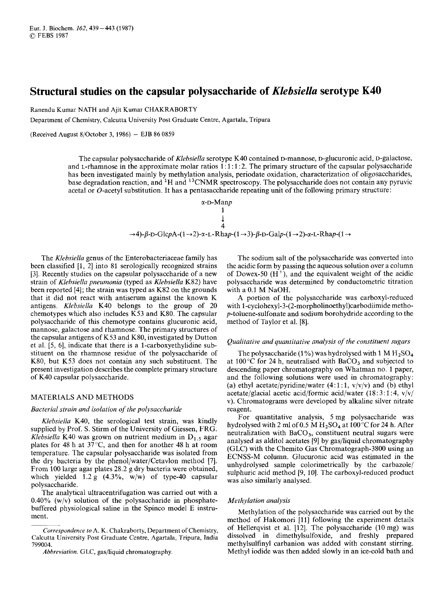# **Structural studies on the capsular polysaccharide of** *Klebsiella* **serotype K40<br><b>Structural studies on the capsular polysaccharide of** *Klebsiella* **serotype K40<br>Ranendu Kumar NATH and Ajit Kumar CHAKRABORTY<br>Department of Ch Structural studies on the capsular polysaccharide of** *Klebsiella* **serotype K40**<br>Ranendu Kumar NATH and Ajit Kumar CHAKRABORTY<br>Department of Chemistry, Calcutta University Post Graduate Centre, Agartala, Tripura<br>(Received

Ranendu Kumar NATH and Ajit Kumar CHAKRABORTY

Department of Chemistry, Calcutta University Post Graduate Centre, Agartala, Tripura

The capsular polysaccharide of *Xlebsiella* serotype K40 contained D-mannose, D-glucuronic acid, D-galactose, <br>The capsular polysaccharide of *Klebsiella* serotype K40 contained D-mannose, D-glucuronic acid, D-galactose,<br>T The capsular polysaccharide of *Klebsiella* serotype K40 contained D-mannose, D-glucuronic acid, D-galactose, and L-rhamnose in the approximate molar ratios  $1:1:1:2$ . The primary structure of the capsular polysaccharide has been investigated mainly by methylation analysis, periodate oxidation, characterization of oligosaccharides, base degradation reaction, and 'H and 13CNMR spectroscopy. The polysaccharide does not contain any pyruvic acetal or 0-acetyl substitution. It has a pentasaccharide repeating unit of the following primary structure:

d mainly by methylation analysis, periodic oxidation, characterization of oligosaccharides,  
action, and <sup>1</sup>H and <sup>13</sup>CNMR spectroscopy. The polysaccharide does not contain any pyruvic  
ibstitution. It has a pentasaccharide repeating unit of the following primary structure:  

$$
α-D-Manp
$$
  
1  

$$
4
$$
  
→4)-β-D-GlcpA-(1→2)-α-L-Rhap-(1→3)-β-D-Galp-(1→2)-α-L-Rhap-(1→

The *Klebsiella* genus of the Enterobacteriaceae family has been classified **[l,** 21 into 81 serologically recognized strains [3]. Recently studies on the capsular polysaccharide of a new strain of *Klebsiella pneumonia* (typed as *Klebsiella* K82) have been reported [4]; the strain was typed as K82 on the grounds that it did not react with antiserum against the known K antigens. *Klebsiella* K40 belongs to the group of 20 chemotypes which also includes K53 and K80. The capsular polysaccharide of this chemotype contains glucuronic acid, mannose, galactose and rhamnose. The primary structures of the capsular antigens of K53 and K80, investigated by Dutton et al. [5, 61, indicate that there is a 1-carboxyethylidine substituent on the rhamnose residue of the polysaccharide of K80, but K53 does not contain any such substituent. The present investigation describes the complete primary structure of K40 capsular polysaccharide.

## MATERIALS AND METHODS

## *Bacterial strain and isolation of the polysaccharide*

*Klebsiella* K40, the serological test strain, was kindly supplied by Prof. S. Stirm of the University of Giessen, FRG. *Klebsiella* K40 was grown on nutrient medium in  $D_{1.5}$  agar plates for 48 h at  $37^{\circ}$ C, and then for another 48 h at room temperature. The capsular polysaccharide was isolated from the dry bacteria by the phenol/water/Cetavlon method [7]. From 100 large agar plates 28.2 g dry bacteria were obtained, which yielded  $1.2 \text{ g}$  (4.3%, w/w) of type-40 capsular polysaccharide.

The analytical ultracentrifugation was carried out with a 0.40% (w/v) solution of the polysaccharide in phosphatebuffered physiological saline in the Spinco model E instrument.

The sodium salt of the polysaccharide was converted into the acidic form by passing the aqueous solution over a column of Dowex-50  $(H<sup>+</sup>)$ , and the equivalent weight of the acidic polysaccharide was determined by conductometric titration with a 0.1 M NaOH.

**A** portion of the polysaccharide was carboxyl-reduced with 1 **-cyclohexyl-3-(2-morpholinoethyl)carbodiimide** methop-toluene-sulfonate and sodium borohydride according to the method of Taylor et al. [8]. *Auchion of the polysaccharide was carboxyl-reduced*<br>with 1-cyclohexyl-3-(2-morpholinoethyl)carbodiimide metho-<br>*p*-toluene-sulfonate and sodium borohydride according to the<br>method of Taylor et al. [8].<br>Qualitative and qua The polysaccharide was carboxyl-reduced<br>
A portion of the polysaccharide was carboxyl-reduced<br>
a 1-cyclohexyl-3-(2-morpholinoethyl)carbodiimide metho-<br>
bluene-sulfonate and sodium borohydride according to the<br>
hod of Tayl

at 100 $^{\circ}$ C for 24 h, neutralised with BaCO<sub>3</sub> and subjected to descending paper chromatography on Whatman no. 1 paper, and the following solutions were used in chromatography : (a) ethyl acetate/pyridine/water  $(4:1:1, v/v/v)$  and (b) ethyl acetate/glacial acetic acid/formic acid/water  $(18:3:1:4, v/v)$ v). Chromatograms were developed by alkaline silver nitrate reagent.

For quantitative analysis, 5 mg polysaccharide was hydrolysed with 2 ml of  $0.5 \text{ M H}_2\text{SO}_4$  at  $100^{\circ}$ C for 24 h. After neutralization with  $BaCO<sub>3</sub>$ , constituent neutral sugars were analysed as alditol acetates [9] by gas/liquid chromatography (GLC) with the Chemito Gas Chromatograph-3800 using an ECNSS-M column. Glucuronic acid was estimated in the unhydrolysed sample colorimetrically by the carbazole/ sulphuric acid method **[9,** lo]. The carboxyl-reduced product was also similarly analysed.

# *Methylation analysis*

Methylation of the polysaccharide was carried out by the method of Hakomori [11] following the experiment details of Hellerqvist et al. [12]. The polysaccharide (10 mg) was dissolved in dimethylsulfoxide, and freshly prepared methylsulfinyl carbanion was added with constant stirring. Methyl iodide was then added slowly in an ice-cold bath and

*Correspondence to* A. K. Chakraborty, Department of Chemistry, Calcutta University Post Graduate Centre, Agartala, Tripura, India 799004.

*Abbreviation.* GLC, gas/liquid chromatography.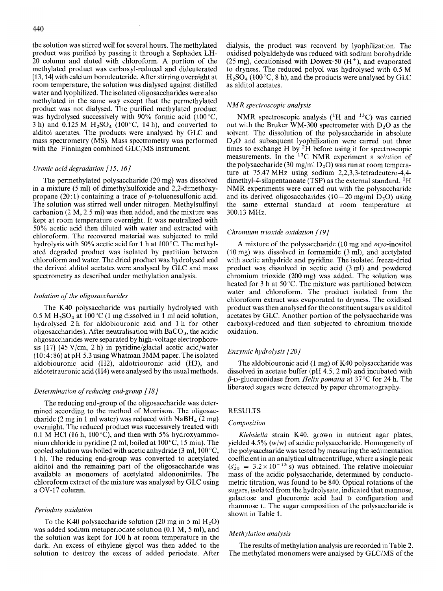the solution was stirred well for several hours. The methylated product was purified by passing it through a Sephadex LH-20 column and eluted with chloroform. A portion of the methylated product was carboxyl-reduced and dideuterated [13,14] with calcium borodeuteride. After stirring overnight at room temperature, the solution was dialysed against distilled water and lyophilized. The isolated oligosaccharides were also methylated in the same way except that the permethylated product was not dialysed. The purified methylated product was hydrolysed successively with 90% formic acid (100 $^{\circ}$ C, 3 h) and 0.125 M  $H_2SO_4$  (100 °C, 14 h), and converted to alditol acetates. The products were analysed by GLC and mass spectrometry (MS). Mass spectrometry was performed with the Finningen combined GLC/MS instrument.

The permethylated polysaccharide (20 mg) was dissolved in a mixture (5 ml) of dimethylsulfoxide and 2,2-dimethoxy-<br>propane  $(20:1)$  containing a trace of p-toluenesulfonic acid. The solution was stirred well under nitrogen. Methylsulfinyl carbanion (2 M, 2.5 ml) was then added, and the mixture was kept at room temperature overnight. It was neutralized with 50% acetic acid then diluted with water and extracted with chloroform. The recovered material was subjected to mild In a mixture (5 mi) of dimetryisuroxide and 2,2-dimetrioxy-<br>
Frological control and its derived oligosaccharides (10 – 20 mg/ml D<sub>2</sub>O) using<br>
The solution was stirred well under nitrogen. Methylsulfinyl the same external ated degraded product was isolated by partition between chloroform and water. The dried product was hydrolysed and the derived alditol acetates were analysed by GLC and mass spectrometry as described under methylation analysis.

# Isolation of the oligosaccharides

The K40 polysaccharide was partially hydrolysed with  $0.5$  M H<sub>2</sub>SO<sub>4</sub> at 100<sup>°</sup>C (1 mg dissolved in 1 ml acid solution, hydrolysed 2 h for aldobiouronic acid and 1 h for other oligosaccharides). After neutralisation with  $BaCO<sub>3</sub>$ , the acidic oligosaccharides were separated by high-voltage electrophoresis [17] (45 V/cm, 2 h) in pyridine/glacial acetic acid/water (10:4: 86) at pH 5.3 using Whatman 3MM paper. The isolated aldobiouronic acid (H2), aldotriouronic acid (H3), and aldotetrauronic acid (H4) were analysed by the usual methods.

# Determination *of*  reducing end-group

The reducing end-group of the oligosaccharide mined according to the method of Morrison. The oligosaccharide (2 mg in 1 ml water) was reduced with  $NabH_4$  (2 mg) overnight. The reduced product was successively treated with 0.1 M HCl (16 h, 100 $^{\circ}$ C), and then with 5% hydroxyammonium chloride in pyridine (2 ml, boiled at 100 "C, 15 min). The cooled solution was boiled with acetic anhydride (3 ml, 100 "C, 1 h). The reducing end-group was converted to acetylated alditol and the remaining part of the oligosaccharide was available as monomers of acetylated aldononitriles. The chloroform extract of the mixture was analysed by GLC using a OV-17 column.

## Periodate oxidation

To the K40 polysaccharide solution (20 mg in 5 ml  $H_2O$ ) was added sodium metaperiodate solution (0.1 M, 5 ml), and the solution was kept for 100 h at room temperature in the dark. An excess of ethylene glycol was then added to the solution to destroy the excess of added periodate. After dialysis, the product was recoverd by lyophilization. The oxidised polyaldehyde was reduced with sodium borohydride (25 mg), decationised with Dowex-50  $(H<sup>+</sup>)$ , and evaporated to dryness. The reduced polyol was hydrolysed with 0.5 M  $H_2SO_4$  (100 °C, 8 h), and the products were analysed by GLC as alditol acetates. *zy* and *zy secoverd* by lyophilization. The yde was reduced with sodium borohydride ed with Dowex-50 (H<sup>+</sup>), and evaporated duced polyol was hydrolysed with 0.5 M (), and the products were analysed by GLC  $\alpha$  analysis

# *NMR*  spectroscopic

was hydrolysed successively with 90% formic acid (100°C, NMR spectroscopic analysis (<sup>1</sup>H and <sup>13</sup>C) was carried<br>3h) and 0.125 M H<sub>2</sub>SO<sub>4</sub> (100°C, 14h), and converted to out with the Bruker WM-300 spectrometer with D<sub>2</sub>O mass spectrometry (MS). Mass spectrometry was performed<br>with the Finningen combined GLC/MS instrument.<br>times to exchange H by <sup>2</sup>H before using it for spectroscopic<br>measurements. In the <sup>13</sup>C NMR experiment a solution of<br> NMR spectroscopic analysis (<sup>1</sup>H and <sup>13</sup>C) was carried out with the Bruker WM-300 spectrometer with  $D_2O$  as the solvent. The dissolution of the polysaccharide in absolute  $D_2O$  and subsequent lyophilization were carred out three times to exchange H by  ${}^{2}\dot{H}$  before using it for spectroscopic measurements. In the <sup>13</sup>C NMR experiment a solution of the polysaccharide (30 mg/ml  $D_2O$ ) was run at room tempera-<br>ture at 75.47 MHz using sodium 2,2,3,3-tetradeutero-4,4-TWIN Spectroscopic antarysis ( $\pi$  and  $\pi$ ) was carried out with the Bruker WM-300 spectrometer with  $D_2O$  as the solvent. The dissolution of the polysaccharide in absolute  $D_2O$  and subsequent lyophilization were carr dimethyl-4-silapentanoate (TSP) as the external standard. 'H NMR experiments were carried out with the polysaccharide and its derived oligosaccharides  $(10-20 \text{ mg/ml D}_2O)$  using the same external standard at room temperature at 300.13 **MHz.** 

## Chromium trioxide oxidation (191

A mixture of the polysaccharide (10 mg and  $m\gamma$ -inositol (10 mg) was dissolved in formamide (3 ml), and acetylated with acetic anhydride and pyridine. The isolated freeze-dried product was dissolved in acetic acid (3 ml) and powdered chromium trioxide (200 mg) was added. The solution was heated for 3 h at 50°C. The mixture was partitioned between water and chloroform. The product isolated from the chloroform extract was evaporated to dryness. The oxidised product was then analysed for the constituent sugars as alditol acetates by GLC. Another portion of the polysaccharide was carboxyl-reduced and then subjected to chromium trioxide oxidation.

# Enzymic hydrolysis *(201*

gh-voltage electrophore-<br>
glacial acetic acid/water<br>
IMM paper. The isolated Enzymic hydrolysis [20]<br>
uronic acid (H3), and The aldobiouronic acid (1 mg) of K40 polysaccharide was<br>
ed by the usual methods.<br>  $\beta$ -D-glucuro The aldobiouronic acid (1 mg) of K40 polysaccharide was dissolved in acetate buffer (pH 4.5, 2 ml) and incubated with  $\beta$ -D-glucuronidase from *Helix pomatia* at 37 °C for 24 h. The liberated sugars were detected by paper chromatography.

# RESULTS

# Composition

Klebsiella strain K40, grown in nutrient agar plates, yielded 4.5% (w/w) of acidic polysaccharide. Homogeneity of the polysaccharide was tested by measuring the sedimentation coefficient in an analytical ultracentrifuge, where a single peak metric titration, was found to be 840. Optical rotations of the mass of the acidic polysaccharide, determined by conducto- $(s_{20}^{\circ} = 3.2 \times 10^{-13} \text{ s})$  was obtained. The relative molecular sugars, isolated from the hydrolysate, indicated that mannose, galactose and glucuronic acid had **D** configuration and rhamnose L. The sugar composition of the polysaccharide is shown in Table 1.

#### Methylation analysis

The results of methylation analysis are recorded in Table 2. The methylated monomers were analysed by GLC/MS of the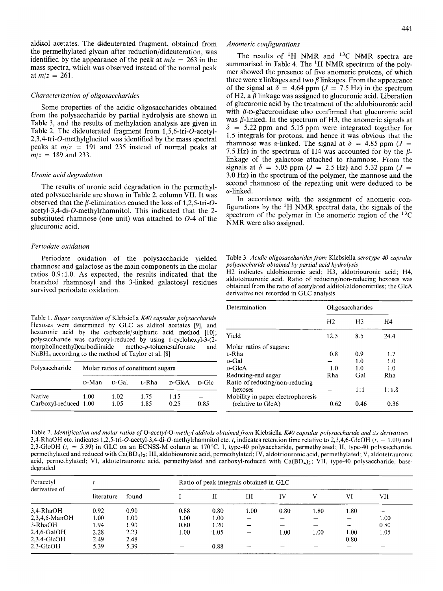the permethylated glycan after reduction/dideuteration, was alditol acetates. The dideuterated fragment, obtained from alditol acetates. The dideuterated fragment, obtained from *Anomeric configurations*<br>the permethylated glycan after reduction/dideuteration, was<br>identified by the appearance of the peak at  $m/z = 263$  in the summarised in T mass spectra, which was observed instead of the normal peak at  $m/z = 261$ .

# *Characterization of oligosaccharides*

Some properties of the acidic oligosaccharides obtained from the polysaccharide by partial hydrolysis are shown in Table 3, and the results of methylation analysis are given in Table 2. The dideuterated fragment from 1,5,6-tri-O-acetyl-2,3,4-tri-O-methylglucitol was identified by the mass spectral peaks at  $m/z = 191$  and 235 instead of normal peaks at  $m/z = 189$  and 233.

#### *Uronic acid degradation*

The results of uronic acid degradation in the permethylated polysaccharide are shown in Table 2, column VII. It was substituted rhamnose (one unit) was attached to  $O$ -4 of the **acetyl-3,4-di-O-methylrhamnitol.**  This indicated that the observed that the  $\beta$ -elimination caused the loss of 1,2,5-tri-Oglucuronic acid.

# *Periodate oxidution*

Periodate oxidation of the polysaccharide yielded rhamnose and galactose as the main components in the molar ratios 0.9:1.0. As expected, the results indicated that the branched rhamnosyl and the 3-linked galactosyl residues survived periodate oxidation.

Hexoses were determined by GLC as alditol acetates [9], and hexuronic acid by the carbazole/sulphuric acid method [10]; polysaccharide was carboxyl-reduced by using 1-cyclohexyl-3-(2 **morpholinoethy1)carbodiimide** metho-p-toluenesulfonate and  $NaBH<sub>4</sub> according to the method of Taylor et al. [8]$ 

| Polysaccharide                  |       |              | Molar ratios of constituent sugars |              |       |
|---------------------------------|-------|--------------|------------------------------------|--------------|-------|
|                                 | D-Man | n-Gal        | L-Rha                              | D-GlcA       | n-Gle |
| Native<br>Carboxyl-reduced 1.00 | 1.00  | 1.02<br>1.05 | 1.75<br>1.85                       | 1.15<br>0.25 | 0.85  |

2.5 Hz) in the spectrum of H4 was accounted for by the  $\beta$ -<br>linkage of the galactose attached to rhamnose. From the<br>signals at  $\delta = 5.05$  ppm ( $J = 2.5$  Hz) and 5.32 ppm ( $J =$ <br>3.0 Hz) in the spectrum of the polymer, the m The results of 'H NMR and **I3C** NMR spectra are summarised in Table 4. The 'H NMR spectrum of the polymer showed the presence of five anomeric protons, of which Anomeric configurations<br>
The results of <sup>1</sup>H NMR and <sup>13</sup>C NMR spectra are<br>
summarised in Table 4. The <sup>1</sup>H NMR spectrum of the poly-<br>
mer showed the presence of five anomeric protons, of which<br>
three were  $\alpha$  linkages a three were  $\alpha$  linkages and two  $\beta$  linkages. From the appearance of the signal at  $\delta = 4.64$  ppm ( $J = 7.5$  Hz) in the spectrum of H2, a  $\beta$  linkage was assigned to glucuronic acid. Liberation of glucuronic acid by the treatment of the aldobiouronic acid with  $\beta$ -D-glucuronidase also confirmed that glucuronic acid was  $\beta$ -linked. In the spectrum of H3, the anomeric signals at  $\delta = 5.22$  ppm and 5.15 ppm were integrated together for 1.5 integrals for protons, and hence it was obvious that the rhamnose was  $\alpha$ -linked. The signal at  $\delta = 4.85$  ppm ( $J =$ or the signal at  $\theta = 4.04$  ppm  $(J = 7.5 \text{ Hz})$  in the spectrum<br>of H2, a  $\beta$  linkage was assigned to glucuronic acid. Liberation<br>of glucuronic acid by the treatment of the aldobiouronic acid<br>with  $\beta$ -D-glucuronidase also 7.5 Hz) in the spectrum of H4 was accounted for by the  $\beta$ linkage of the galactose attached to rhamnose. From the signals at  $\delta$  = 5.05 ppm *(J = 2.5 Hz)* and 5.32 ppm *(J = 3.44)* 3.0 Hz) in the spectrum of the polymer, the mannose and the second rhamnose of the repeating unit were deduced to be a-linked.

In accordance with the assignment of anomeric configurations by the  ${}^{1}H$  NMR spectral data, the signals of the spectrum of the polymer in the anomeric region of the **13C**  NMR were also assigned.

Table 3. *Acidic oligosaccharides from* Klebsiella *serotype 40 capsular polysaccharide obtained by partial acid hydrolysis* 

| ratios 0.9:1.0. As expected, the results indicated that the branched rhamnosyl and the 3-linked galactosyl residues<br>survived periodate oxidation.                        | 2 indicates aldobiouronic acid; H3, aldotriouronic acid; H4,<br>aldotetrauronic acid. Ratio of reducing/non-reducing hexoses was<br>obtained from the ratio of acetylated alditol/aldononitriles; the GlcA<br>derivative not recorded in GLC analysis |                      |     |  |  |  |  |  |  |
|-----------------------------------------------------------------------------------------------------------------------------------------------------------------------------|-------------------------------------------------------------------------------------------------------------------------------------------------------------------------------------------------------------------------------------------------------|----------------------|-----|--|--|--|--|--|--|
|                                                                                                                                                                             | Determination                                                                                                                                                                                                                                         | Oligosaccharides     |     |  |  |  |  |  |  |
| Table 1. Sugar composition of Klebsiella K40 capsular polysaccharide<br>Hexoses were determined by GLC as alditol acetates [9], and                                         |                                                                                                                                                                                                                                                       | $H2$ $H3$            | HA  |  |  |  |  |  |  |
| hexuronic acid by the carbazole/sulphuric acid method [polysaccharide was carboxyl-reduced by using 1-cyclohexyl-2<br>morpholinoethyl)carbodiimide metho-p-toluenesulfonate | Yield                                                                                                                                                                                                                                                 | 8.5 24.4             |     |  |  |  |  |  |  |
|                                                                                                                                                                             | and Molar ratios of sugars:                                                                                                                                                                                                                           |                      |     |  |  |  |  |  |  |
| $NaBH4 according to the method of Taylor et al. [8]$                                                                                                                        | L-Rha                                                                                                                                                                                                                                                 | $0.8$ 0.9            |     |  |  |  |  |  |  |
|                                                                                                                                                                             | D-Cral                                                                                                                                                                                                                                                | 1.0 <sub>1</sub>     |     |  |  |  |  |  |  |
| Polysaccharide Molar ratios of constituent sugars                                                                                                                           |                                                                                                                                                                                                                                                       | 1.0<br>1.0           |     |  |  |  |  |  |  |
|                                                                                                                                                                             | Reducing-end sugar                                                                                                                                                                                                                                    | Gal                  | Rha |  |  |  |  |  |  |
| D-Man D-Gal L-Rha D-GlcA D-Glc Ratio of reducing/non-reducing                                                                                                               |                                                                                                                                                                                                                                                       |                      |     |  |  |  |  |  |  |
|                                                                                                                                                                             | hexoses                                                                                                                                                                                                                                               | $1:1$ $1:1.8$        |     |  |  |  |  |  |  |
| 1.75<br>1.15<br>1.00<br>Carboxyl-reduced 1.00<br>1.05 1.85<br>0.25<br>0.85                                                                                                  | Mobility in paper electrophoresis<br>(relative to GicA)                                                                                                                                                                                               | $0.62$ $0.46$ $0.36$ |     |  |  |  |  |  |  |
|                                                                                                                                                                             |                                                                                                                                                                                                                                                       |                      |     |  |  |  |  |  |  |

Table 2. *Identification and molar ratios* of *0-acetyl-0-methyl alditols obtained.from* Klebsiella *K40 capsular polysaccharide and its derivatives*  3,4-RhaOH etc. indicates **1,2,5-tri-O-acetyl-3,4-di-O-methylrhamnitol** etc. *t,* indicates retention time relative to 2,3,4,6-GlcOH *(t,* = 1 .OO) and 2,3-GlcOH ( $t_r$  = 5.39) in GLC on an ECNSS-M column at 170°C. I, type-40 polysaccharide, permethylated; II, type-40 polysaccharide, permethylated and reduced with Ca(BD<sub>4</sub>)<sub>2</sub>; III, aldobiouronic acid, permethylated; IV, a Carboxyl-reduced 1.00 1.05 1.85 0.25 0.85 (relative to GicA) 0.62 0.46 0.56<br>
Table 2. *Identification and molar ratios of* O-acetyl-O-methyl alditols obtained from Klebsiella *K40 capsular polysaccharide and its derivative* acid, permethylated; VI, aldotetrauronic acid, permethylated and carboxyl-reduced with  $Ca(BD<sub>4</sub>)<sub>2</sub>$ ; VII, type-40 polysaccharide, basedegraded

| Peracetyl<br>derivative of |            |       |          | Ratio of peak integrals obtained in GLC |      |      |      |      |      |
|----------------------------|------------|-------|----------|-----------------------------------------|------|------|------|------|------|
|                            | literature | found |          |                                         | Ш    | IV   |      | VI   | VII  |
| 3,4-RhaOH                  | 0.92       | 0.90  | 0.88     | 0.80                                    | 1.00 | 0.80 | .80  | 1.80 |      |
| 2,3,4,6-ManOH              | 00.1       | 1.00  | $1.00\,$ | 1.00                                    |      |      |      |      | 1.00 |
| 3-RhaOH                    | 1.94       | 1.90  | 0.80     | 1.20                                    |      |      |      |      | 0.80 |
| 2,4,6-GalOH                | 2.28       | 2.23  | 1.00     | $-1.05$                                 |      | 1.00 | 1.00 | 1.00 | .05  |
| $2,3,4$ -GlcOH             | 2.49       | 2.48  |          |                                         |      |      |      | 0.80 |      |
| $2.3 - GlcOH$              | 5.39       | 5.39  |          | 0.88                                    |      |      |      |      |      |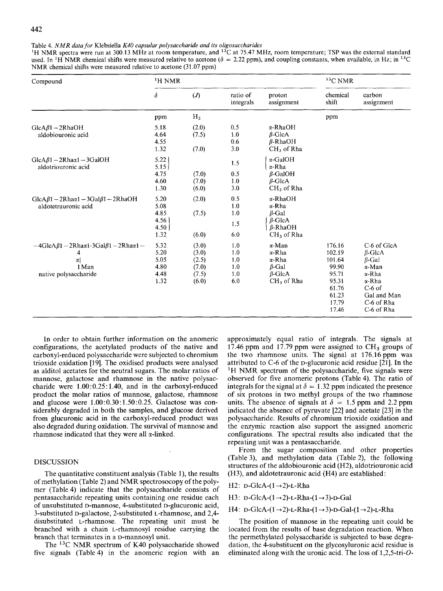Table 4. *NMR data for Klebsiella K40 capsular polysaccharide and its oligosaccharides*<br><sup>1</sup>H NMR spectra were run at 300.13 MHz at room temperature, and <sup>13</sup>C at 75.47 MHz, room temperature; TSP was the external standard u <sup>1</sup>H NMR spectra were run at 300.13 MHz at room temperature, and <sup>13</sup>C at 75.47 MHz, room temperature; TSP was the external standard used. In <sup>1</sup>H NMR chemical stands were measured relative to acetone ( $\delta = 2.22$  ppm), an Table 4. *NMR data for* Klebsiella *K40 capsular polysaccharide and its oligosaccharides*<br><sup>1</sup>H NMR spectra were run at 300.13 MHz at room temperature, and <sup>13</sup>C at 75.47 MHz, room temperature; TSP was the external standar NMR chemical shifts were measured relative to acetone (31.07 ppm)

| Table 4. <i>NMR data for</i> Klebsiella <i>K40 capsular polysaccharide and its oligosaccharides</i><br><sup>1</sup> H NMR spectra were run at 300.13 MHz at room temperature, and <sup>13</sup> C at 75.47 MHz, room temperature; TSP was the external standar |               |                                               |                                                  |
|----------------------------------------------------------------------------------------------------------------------------------------------------------------------------------------------------------------------------------------------------------------|---------------|-----------------------------------------------|--------------------------------------------------|
|                                                                                                                                                                                                                                                                |               |                                               |                                                  |
| Compound                                                                                                                                                                                                                                                       | $\rm ^1H$ NMR |                                               | $13C$ NMR                                        |
|                                                                                                                                                                                                                                                                |               | proton<br>ratio of<br>integrals<br>assignment | chemical<br>shift<br>carbon<br>assignment        |
| <del>▎▎▎▝▝▝▝▝▝▝▝▝▝▝▝▝▝▝▝▝▝▝▝▝▝▝▝▝▝▝▝▝▝▝▝▝</del><br>ppm                                                                                                                                                                                                         |               |                                               |                                                  |
| 5.18                                                                                                                                                                                                                                                           |               |                                               |                                                  |
| $GlcA\beta1 - 2RhaOH$<br>aldobiouronic acid                                                                                                                                                                                                                    | 4.64<br>(7.5) | α-RhaOH<br>β-GlcA<br>β-RhaOH                  |                                                  |
|                                                                                                                                                                                                                                                                | (7.0)         | $CH_3$ of Rh                                  |                                                  |
| $GlcA\beta1 - 2Rh\alpha\alpha1 - 3GalOH$<br>aldotriouronic acid                                                                                                                                                                                                |               |                                               |                                                  |
|                                                                                                                                                                                                                                                                |               | $\beta$ -GalOH                                |                                                  |
|                                                                                                                                                                                                                                                                |               | $\beta$ -GlcA                                 |                                                  |
|                                                                                                                                                                                                                                                                |               | $CH_3$ of RI                                  |                                                  |
| GlcA $\beta$ 1 - 2Rha $\alpha$ 1 - 3Gal $\beta$ 1 - 2RhaOH 5.20<br>aldotetrauronic acid 5.08                                                                                                                                                                   | (2.0)         | α-RhaOH<br>α-Rha                              |                                                  |
|                                                                                                                                                                                                                                                                | (7.5)         |                                               |                                                  |
|                                                                                                                                                                                                                                                                |               |                                               |                                                  |
|                                                                                                                                                                                                                                                                | (6.0)         | $CH3$ of Rh                                   |                                                  |
| $-4GlcA\beta1 - 2Rh\alpha\alpha1 - 3Gal\beta1 - 2Rh\alpha\alpha1 - 5.32$                                                                                                                                                                                       | (3.0)         | α-Ma                                          | 176.16<br>C-6 of GlcA<br>$\beta$ -GleA<br>102.19 |
|                                                                                                                                                                                                                                                                |               | ι-Rh<br>α-Rha                                 | 101.64<br>$R$ -Ga                                |
| 1 Man<br>native polysaccharide                                                                                                                                                                                                                                 |               | $\beta$ -Gal                                  | 99.90<br>95.7'                                   |
|                                                                                                                                                                                                                                                                |               | $\beta$ -GlcA<br>CH <sub>3</sub> of Rha       | 95.31<br>x-Kh                                    |
|                                                                                                                                                                                                                                                                |               |                                               | $C-6$ o<br>61.76<br>Gal and Man<br>61.23         |
|                                                                                                                                                                                                                                                                |               |                                               | C-6 of Rha                                       |
|                                                                                                                                                                                                                                                                |               |                                               |                                                  |

In order to obtain further information on the anomeric configurations, the acetylated products of the native and carboxyl-reduced polysaccharide were subjected to chromium trioxide oxidation [19]. The oxidised products were analysed as alditol acetates for the neutral sugars. The molar ratios of mannose, galactose and rhamnose in the native polysaccharide were  $1.00:0.25:1.40$ , and in the carboxyl-reduced product the molar ratios of mannose, galactose, rhamnose and glucose were  $1.00:0.30:1.50:0.25$ . Galactose was considerably degraded in both the samples, and glucose derived from glucuronic acid in the carboxyl-reduced product was also degraded during oxidation. The survival of mannose and rhamnose indicated that they were all  $\alpha$ -linked.

# DISCUSSION

The quantitative constituent analysis (Table 1), the results of methylation (Table 2) and NMR spectrosocopy of the polymer (Table 4) indicate that the polysaccharide consists of pentasaccharide repeating units containing one residue each of unsubstituted D-mannose, 4-substituted D-glucuronic acid, 3-substituted D-galactose, 2-substituted L-rhamnose, and 2,4 disubstituted L-rhamnose. The repeating unit must be branched with a chain L-rhamnosyl residue carrying the branch that terminates in a D-mannosyl unit.

The **I3C** NMR spectrum of K40 polysaccharide showed five signals (Table 4) in the anomeric region with an approximately equal ratio of integrals. The signals at 17.46 ppm and 17.79 ppm were assigned to  $CH_3$  groups of the two rhamnose units. The signal at 176.16 ppm was attributed to C-6 of the D-glucuronic acid residue [21]. In the **'H** NMR spectrum of the polysaccharide, five signals were observed for five anomeric protons (Table4). The ratio of integrals for the signal at  $\delta = 1.32$  ppm indicated the presence of six protons in two methyl groups of the two rhamnose units. The absence of signals at  $\delta = 1.5$  ppm and 2.2 ppm indicated the absence of pyruvate [22] and acetate [23] in the polysaccharide. Results of chromium trioxide oxidation and the enzymic reaction also support the assigned anomeric configurations. The spectral results also indicated that the repeating unit was a pentasaccharide.

From the sugar composition and other properties (Table 3), and methylation data (Table 2), the following structures of the aldobiouronic acid (H2), aldotriouronic acid (H3), and aldotetrauronic acid (H4) are established:

H2: 
$$
\text{D-GlcA} \cdot (1 \rightarrow 2) \cdot \text{L-Rha}
$$

 $H3: p\text{-}GlcA-(1\rightarrow 2)\text{-}L\text{-}Rha-(1\rightarrow 3)\text{-}p\text{-}Gal$ 

 $H4: D-GlcA-(1\rightarrow 2)-L-Rha-(1\rightarrow 3)-D-Gal-(1\rightarrow 2)-L-Rha$ 

The position of mannose in the repeating unit could be located from the results of base degradation reaction. When the permethylated polysaccharide is subjected to base degradation, the 4-substituent on the glycosyluronic acid residue is eliminated along with the uronic acid. The loss of 1,2,5-tri-O-